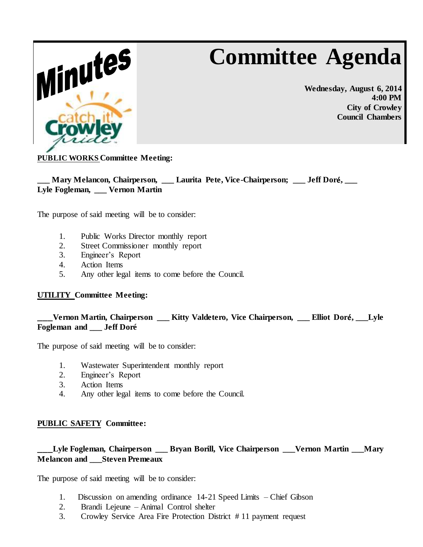# **Committee Agenda**



**Wednesday, August 6, 2014 4:00 PM City of Crowley Council Chambers**

# **PUBLIC WORKS Committee Meeting:**

**\_\_\_ Mary Melancon, Chairperson, \_\_\_ Laurita Pete, Vice-Chairperson; \_\_\_ Jeff Dor**é**, \_\_\_ Lyle Fogleman, \_\_\_ Vernon Martin**

The purpose of said meeting will be to consider:

- 1. Public Works Director monthly report
- 2. Street Commissioner monthly report
- 3. Engineer's Report
- 4. Action Items
- 5. Any other legal items to come before the Council.

## **UTILITY Committee Meeting:**

**\_\_\_Vernon Martin, Chairperson \_\_\_ Kitty Valdetero, Vice Chairperson, \_\_\_ Elliot Dor**é**, \_\_\_Lyle Fogleman and \_\_\_ Jeff Doré**

The purpose of said meeting will be to consider:

- 1. Wastewater Superintendent monthly report
- 2. Engineer's Report
- 3. Action Items
- 4. Any other legal items to come before the Council.

## **PUBLIC SAFETY Committee:**

# **\_\_\_Lyle Fogleman, Chairperson \_\_\_ Bryan Borill, Vice Chairperson \_\_\_Vernon Martin \_\_\_Mary Melancon and \_\_\_Steven Premeaux**

The purpose of said meeting will be to consider:

- 1. Discussion on amending ordinance 14-21 Speed Limits Chief Gibson
- 2. Brandi Lejeune Animal Control shelter
- 3. Crowley Service Area Fire Protection District # 11 payment request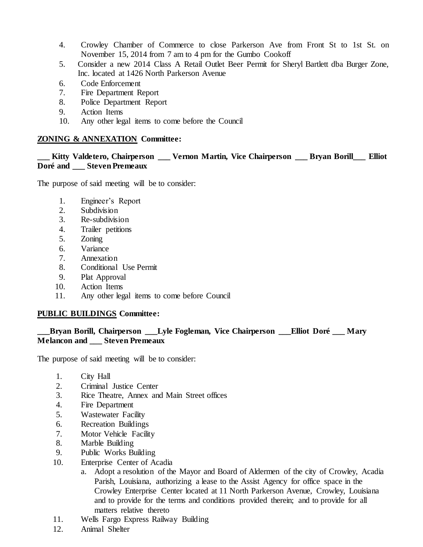- 4. Crowley Chamber of Commerce to close Parkerson Ave from Front St to 1st St. on November 15, 2014 from 7 am to 4 pm for the Gumbo Cookoff
- 5. Consider a new 2014 Class A Retail Outlet Beer Permit for Sheryl Bartlett dba Burger Zone, Inc. located at 1426 North Parkerson Avenue
- 6. Code Enforcement
- 7. Fire Department Report
- 8. Police Department Report
- 9. Action Items
- 10. Any other legal items to come before the Council

### **ZONING & ANNEXATION Committee:**

### Kitty Valdetero, Chairperson \_\_\_ Vernon Martin, Vice Chairperson \_\_\_ Bryan Borill\_\_\_ Elliot **Doré and \_\_\_ Steven Premeaux**

The purpose of said meeting will be to consider:

- 1. Engineer's Report
- 2. Subdivision
- 3. Re-subdivision
- 4. Trailer petitions
- 5. Zoning
- 6. Variance
- 7. Annexation
- 8. Conditional Use Permit
- 9. Plat Approval
- 10. Action Items
- 11. Any other legal items to come before Council

## **PUBLIC BUILDINGS Committee:**

## **\_\_\_Bryan Borill, Chairperson \_\_\_Lyle Fogleman, Vice Chairperson \_\_\_Elliot Doré \_\_\_ Mary Melancon and \_\_\_ Steven Premeaux**

The purpose of said meeting will be to consider:

- 1. City Hall
- 2. Criminal Justice Center
- 3. Rice Theatre, Annex and Main Street offices
- 4. Fire Department
- 5. Wastewater Facility
- 6. Recreation Buildings
- 7. Motor Vehicle Facility
- 8. Marble Building
- 9. Public Works Building
- 10. Enterprise Center of Acadia
	- a. Adopt a resolution of the Mayor and Board of Aldermen of the city of Crowley, Acadia Parish, Louisiana, authorizing a lease to the Assist Agency for office space in the Crowley Enterprise Center located at 11 North Parkerson Avenue, Crowley, Louisiana and to provide for the terms and conditions provided therein; and to provide for all matters relative thereto
- 11. Wells Fargo Express Railway Building
- 12. Animal Shelter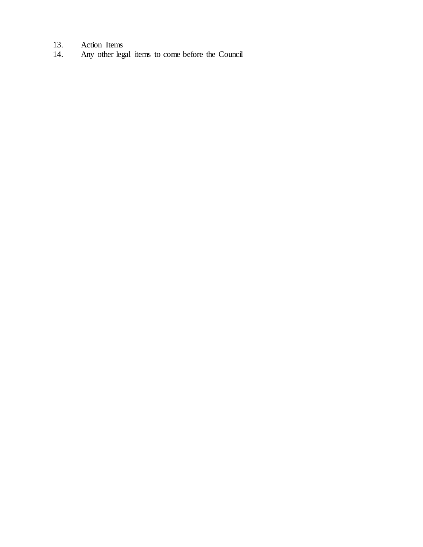- 
- 13. Action Items<br>14. Any other leg 14. Any other legal items to come before the Council